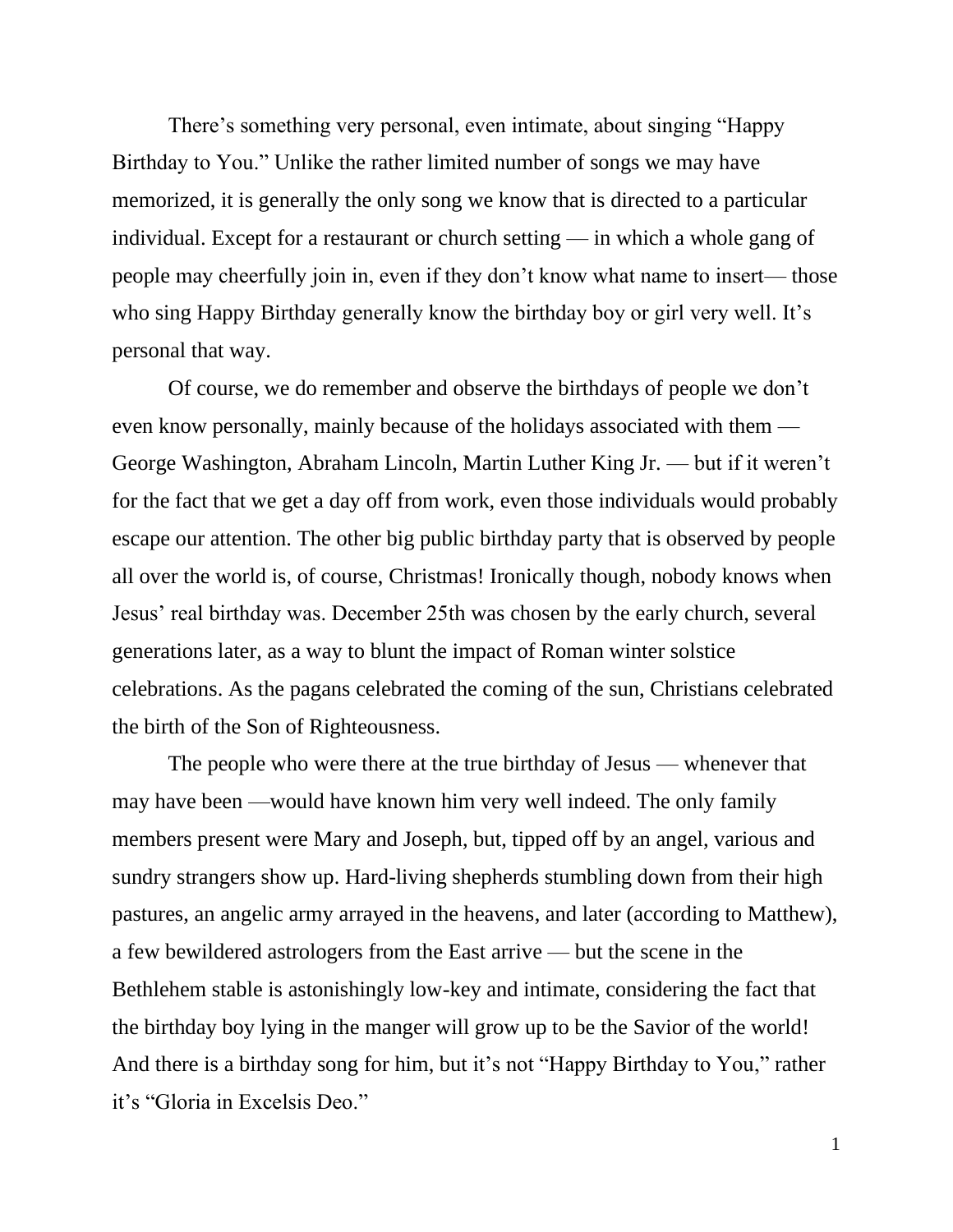There's something very personal, even intimate, about singing "Happy Birthday to You." Unlike the rather limited number of songs we may have memorized, it is generally the only song we know that is directed to a particular individual. Except for a restaurant or church setting — in which a whole gang of people may cheerfully join in, even if they don't know what name to insert— those who sing Happy Birthday generally know the birthday boy or girl very well. It's personal that way.

Of course, we do remember and observe the birthdays of people we don't even know personally, mainly because of the holidays associated with them — George Washington, Abraham Lincoln, Martin Luther King Jr. — but if it weren't for the fact that we get a day off from work, even those individuals would probably escape our attention. The other big public birthday party that is observed by people all over the world is, of course, Christmas! Ironically though, nobody knows when Jesus' real birthday was. December 25th was chosen by the early church, several generations later, as a way to blunt the impact of Roman winter solstice celebrations. As the pagans celebrated the coming of the sun, Christians celebrated the birth of the Son of Righteousness.

The people who were there at the true birthday of Jesus — whenever that may have been —would have known him very well indeed. The only family members present were Mary and Joseph, but, tipped off by an angel, various and sundry strangers show up. Hard-living shepherds stumbling down from their high pastures, an angelic army arrayed in the heavens, and later (according to Matthew), a few bewildered astrologers from the East arrive — but the scene in the Bethlehem stable is astonishingly low-key and intimate, considering the fact that the birthday boy lying in the manger will grow up to be the Savior of the world! And there is a birthday song for him, but it's not "Happy Birthday to You," rather it's "Gloria in Excelsis Deo."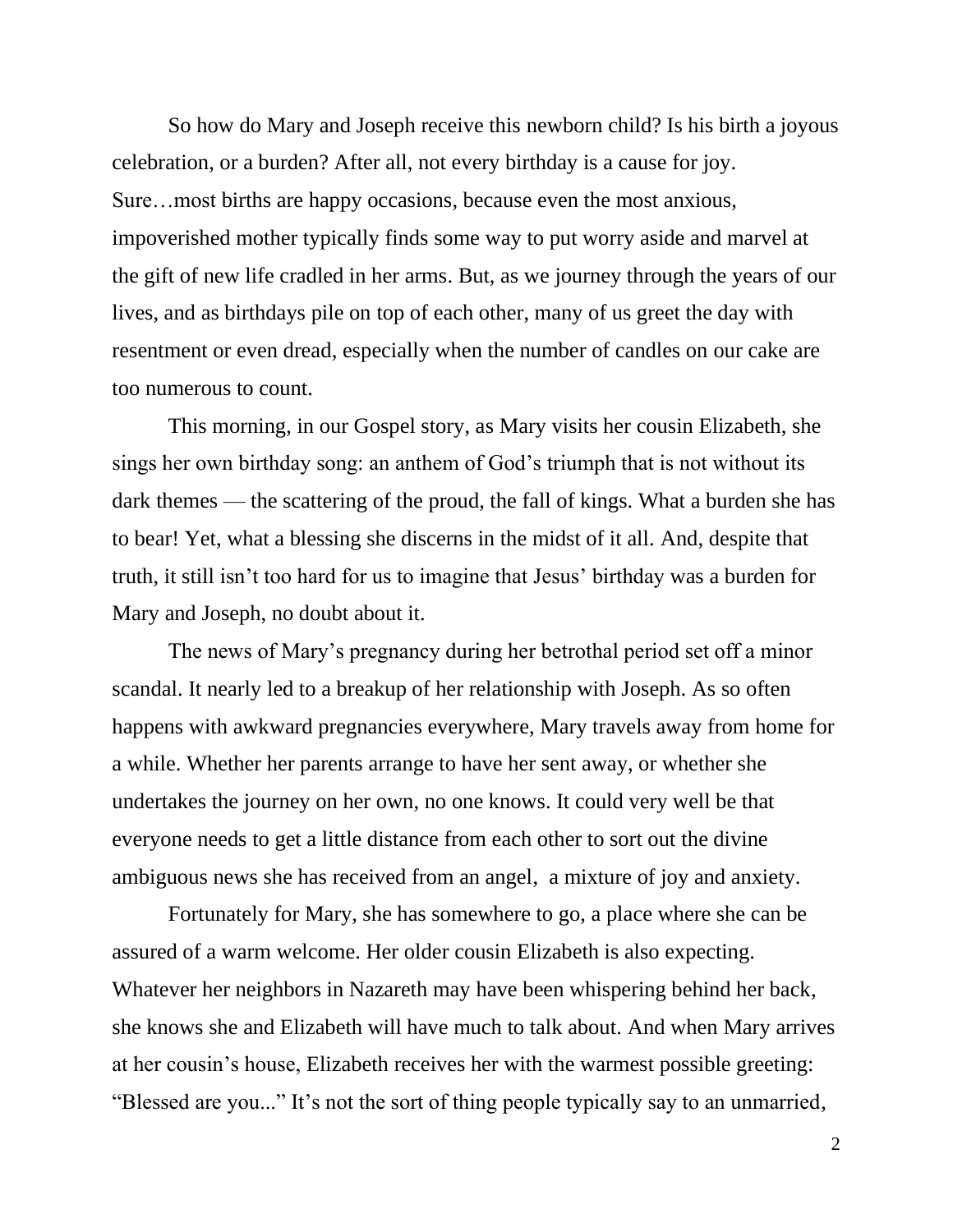So how do Mary and Joseph receive this newborn child? Is his birth a joyous celebration, or a burden? After all, not every birthday is a cause for joy. Sure…most births are happy occasions, because even the most anxious, impoverished mother typically finds some way to put worry aside and marvel at the gift of new life cradled in her arms. But, as we journey through the years of our lives, and as birthdays pile on top of each other, many of us greet the day with resentment or even dread, especially when the number of candles on our cake are too numerous to count.

This morning, in our Gospel story, as Mary visits her cousin Elizabeth, she sings her own birthday song: an anthem of God's triumph that is not without its dark themes — the scattering of the proud, the fall of kings. What a burden she has to bear! Yet, what a blessing she discerns in the midst of it all. And, despite that truth, it still isn't too hard for us to imagine that Jesus' birthday was a burden for Mary and Joseph, no doubt about it.

The news of Mary's pregnancy during her betrothal period set off a minor scandal. It nearly led to a breakup of her relationship with Joseph. As so often happens with awkward pregnancies everywhere, Mary travels away from home for a while. Whether her parents arrange to have her sent away, or whether she undertakes the journey on her own, no one knows. It could very well be that everyone needs to get a little distance from each other to sort out the divine ambiguous news she has received from an angel, a mixture of joy and anxiety.

Fortunately for Mary, she has somewhere to go, a place where she can be assured of a warm welcome. Her older cousin Elizabeth is also expecting. Whatever her neighbors in Nazareth may have been whispering behind her back, she knows she and Elizabeth will have much to talk about. And when Mary arrives at her cousin's house, Elizabeth receives her with the warmest possible greeting: "Blessed are you..." It's not the sort of thing people typically say to an unmarried,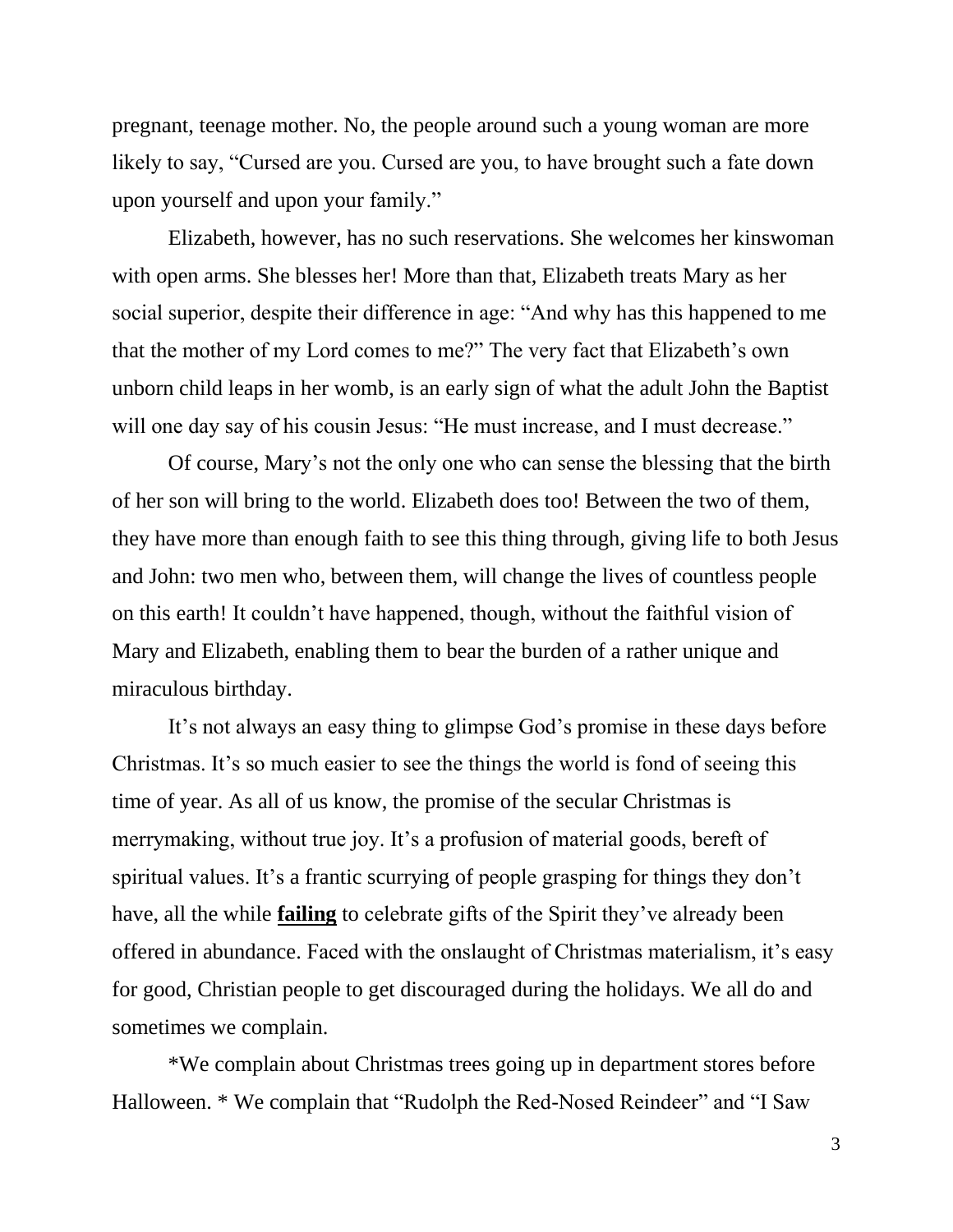pregnant, teenage mother. No, the people around such a young woman are more likely to say, "Cursed are you. Cursed are you, to have brought such a fate down upon yourself and upon your family."

Elizabeth, however, has no such reservations. She welcomes her kinswoman with open arms. She blesses her! More than that, Elizabeth treats Mary as her social superior, despite their difference in age: "And why has this happened to me that the mother of my Lord comes to me?" The very fact that Elizabeth's own unborn child leaps in her womb, is an early sign of what the adult John the Baptist will one day say of his cousin Jesus: "He must increase, and I must decrease."

Of course, Mary's not the only one who can sense the blessing that the birth of her son will bring to the world. Elizabeth does too! Between the two of them, they have more than enough faith to see this thing through, giving life to both Jesus and John: two men who, between them, will change the lives of countless people on this earth! It couldn't have happened, though, without the faithful vision of Mary and Elizabeth, enabling them to bear the burden of a rather unique and miraculous birthday.

It's not always an easy thing to glimpse God's promise in these days before Christmas. It's so much easier to see the things the world is fond of seeing this time of year. As all of us know, the promise of the secular Christmas is merrymaking, without true joy. It's a profusion of material goods, bereft of spiritual values. It's a frantic scurrying of people grasping for things they don't have, all the while **failing** to celebrate gifts of the Spirit they've already been offered in abundance. Faced with the onslaught of Christmas materialism, it's easy for good, Christian people to get discouraged during the holidays. We all do and sometimes we complain.

\*We complain about Christmas trees going up in department stores before Halloween. \* We complain that "Rudolph the Red-Nosed Reindeer" and "I Saw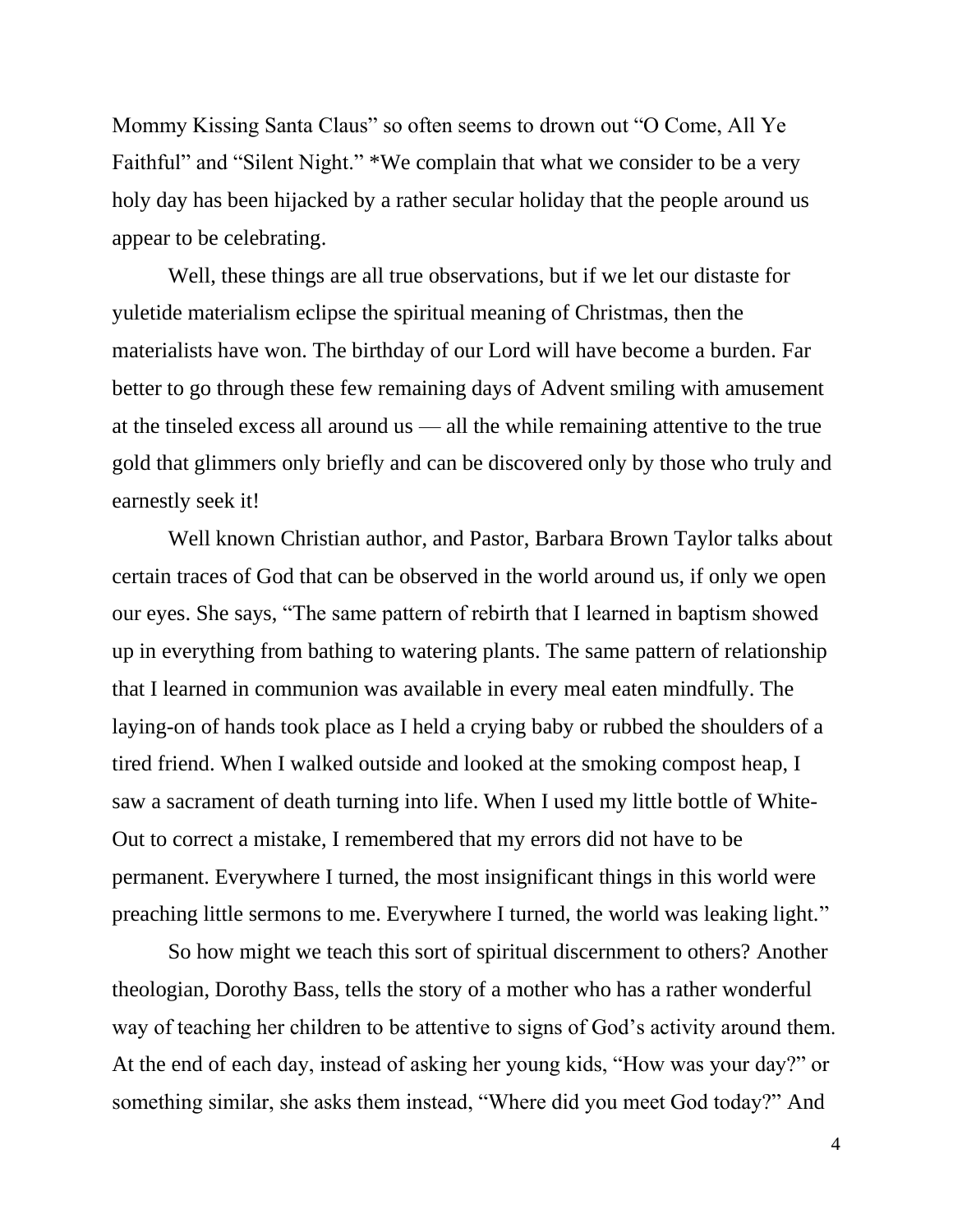Mommy Kissing Santa Claus" so often seems to drown out "O Come, All Ye Faithful" and "Silent Night." \*We complain that what we consider to be a very holy day has been hijacked by a rather secular holiday that the people around us appear to be celebrating.

Well, these things are all true observations, but if we let our distaste for yuletide materialism eclipse the spiritual meaning of Christmas, then the materialists have won. The birthday of our Lord will have become a burden. Far better to go through these few remaining days of Advent smiling with amusement at the tinseled excess all around us — all the while remaining attentive to the true gold that glimmers only briefly and can be discovered only by those who truly and earnestly seek it!

Well known Christian author, and Pastor, Barbara Brown Taylor talks about certain traces of God that can be observed in the world around us, if only we open our eyes. She says, "The same pattern of rebirth that I learned in baptism showed up in everything from bathing to watering plants. The same pattern of relationship that I learned in communion was available in every meal eaten mindfully. The laying-on of hands took place as I held a crying baby or rubbed the shoulders of a tired friend. When I walked outside and looked at the smoking compost heap, I saw a sacrament of death turning into life. When I used my little bottle of White-Out to correct a mistake, I remembered that my errors did not have to be permanent. Everywhere I turned, the most insignificant things in this world were preaching little sermons to me. Everywhere I turned, the world was leaking light."

So how might we teach this sort of spiritual discernment to others? Another theologian, Dorothy Bass, tells the story of a mother who has a rather wonderful way of teaching her children to be attentive to signs of God's activity around them. At the end of each day, instead of asking her young kids, "How was your day?" or something similar, she asks them instead, "Where did you meet God today?" And